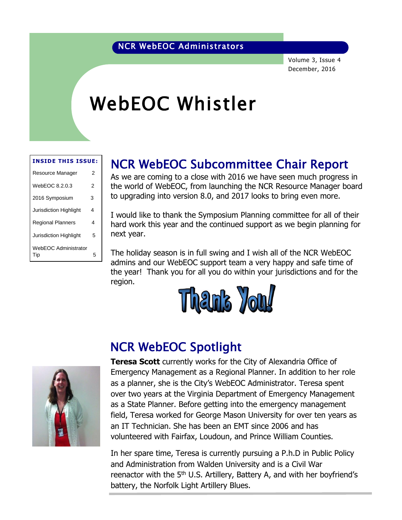### NCR WebEOC Administrators

Volume 3, Issue 4 December, 2016

# WebEOC Whistler

#### **INSIDE THIS ISSUE:**

| Resource Manager              | 2 |
|-------------------------------|---|
| WebEOC 8.2.0.3                | 2 |
| 2016 Symposium                | 3 |
| <b>Jurisdiction Highlight</b> | 4 |
| <b>Regional Planners</b>      | 4 |
| <b>Jurisdiction Highlight</b> | 5 |
| WebEOC Administrator<br>Tip   | 5 |

## NCR WebEOC Subcommittee Chair Report

As we are coming to a close with 2016 we have seen much progress in the world of WebEOC, from launching the NCR Resource Manager board to upgrading into version 8.0, and 2017 looks to bring even more.

I would like to thank the Symposium Planning committee for all of their hard work this year and the continued support as we begin planning for next year.

The holiday season is in full swing and I wish all of the NCR WebEOC admins and our WebEOC support team a very happy and safe time of the year! Thank you for all you do within your jurisdictions and for the region.





### NCR WebEOC Spotlight

**Teresa Scott** currently works for the City of Alexandria Office of Emergency Management as a Regional Planner. In addition to her role as a planner, she is the City's WebEOC Administrator. Teresa spent over two years at the Virginia Department of Emergency Management as a State Planner. Before getting into the emergency management field, Teresa worked for George Mason University for over ten years as an IT Technician. She has been an EMT since 2006 and has volunteered with Fairfax, Loudoun, and Prince William Counties.

In her spare time, Teresa is currently pursuing a P.h.D in Public Policy and Administration from Walden University and is a Civil War reenactor with the  $5<sup>th</sup>$  U.S. Artillery, Battery A, and with her boyfriend's battery, the Norfolk Light Artillery Blues.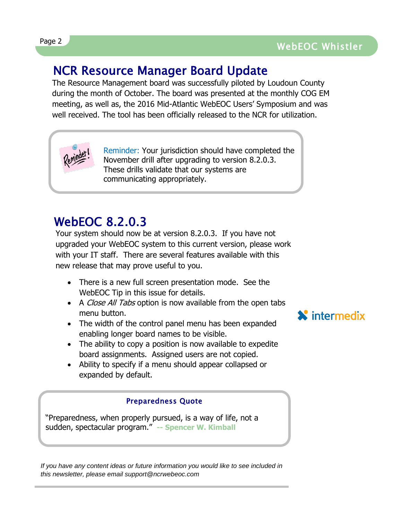## NCR Resource Manager Board Update

The Resource Management board was successfully piloted by Loudoun County during the month of October. The board was presented at the monthly COG EM meeting, as well as, the 2016 Mid-Atlantic WebEOC Users' Symposium and was well received. The tool has been officially released to the NCR for utilization.



Reminder: Your jurisdiction should have completed the November drill after upgrading to version 8.2.0.3. These drills validate that our systems are communicating appropriately.

# WebEOC 8.2.0.3

Your system should now be at version 8.2.0.3. If you have not upgraded your WebEOC system to this current version, please work with your IT staff. There are several features available with this new release that may prove useful to you.

- There is a new full screen presentation mode. See the WebEOC Tip in this issue for details.
- A Close All Tabs option is now available from the open tabs menu button.
- The width of the control panel menu has been expanded enabling longer board names to be visible.
- The ability to copy a position is now available to expedite board assignments. Assigned users are not copied.
- Ability to specify if a menu should appear collapsed or expanded by default.

### Preparedness Quote

"Preparedness, when properly pursued, is a way of life, not a sudden, spectacular program." **-- Spencer W. Kimball**

*If you have any content ideas or future information you would like to see included in this newsletter, please email support@ncrwebeoc.com*

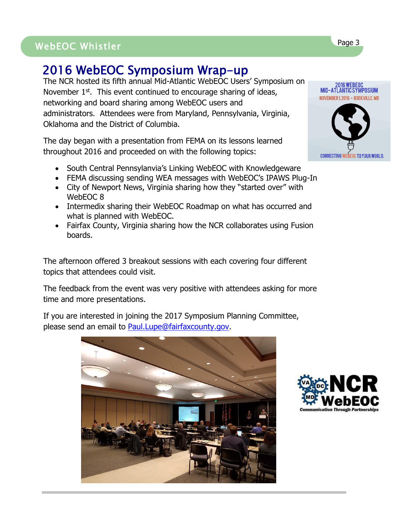# WebEOC Whistler Page 3 Page 3 WebEOC Whistler

# 2016 WebEOC Symposium Wrap-up

The NCR hosted its fifth annual Mid-Atlantic WebEOC Users' Symposium on November 1<sup>st</sup>. This event continued to encourage sharing of ideas, networking and board sharing among WebEOC users and administrators. Attendees were from Maryland, Pennsylvania, Virginia, Oklahoma and the District of Columbia.

The day began with a presentation from FEMA on its lessons learned throughout 2016 and proceeded on with the following topics:

- South Central Pennsylanvia's Linking WebEOC with Knowledgeware
- FEMA discussing sending WEA messages with WebEOC's IPAWS Plug-In
- City of Newport News, Virginia sharing how they "started over" with WebEOC 8
- Intermedix sharing their WebEOC Roadmap on what has occurred and what is planned with WebEOC.
- Fairfax County, Virginia sharing how the NCR collaborates using Fusion boards.

The afternoon offered 3 breakout sessions with each covering four different topics that attendees could visit.

The feedback from the event was very positive with attendees asking for more time and more presentations.

If you are interested in joining the 2017 Symposium Planning Committee, please send an email to [Paul.Lupe@fairfaxcounty.gov.](mailto:Paul.lupe@fairfaxcounty.gov)





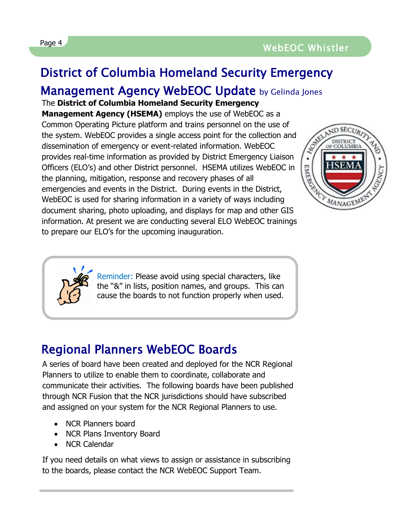# District of Columbia Homeland Security Emergency

### Management Agency WebEOC Update by Gelinda Jones

The **District of Columbia Homeland Security Emergency** 

**Management Agency (HSEMA)** employs the use of WebEOC as a Common Operating Picture platform and trains personnel on the use of the system. WebEOC provides a single access point for the collection and dissemination of emergency or event-related information. WebEOC provides real-time information as provided by District Emergency Liaison Officers (ELO's) and other District personnel. HSEMA utilizes WebEOC in the planning, mitigation, response and recovery phases of all emergencies and events in the District. During events in the District, WebEOC is used for sharing information in a variety of ways including document sharing, photo uploading, and displays for map and other GIS information. At present we are conducting several ELO WebEOC trainings to prepare our ELO's for the upcoming inauguration.





Reminder: Please avoid using special characters, like the "&" in lists, position names, and groups. This can cause the boards to not function properly when used.

# Regional Planners WebEOC Boards

A series of board have been created and deployed for the NCR Regional Planners to utilize to enable them to coordinate, collaborate and communicate their activities. The following boards have been published through NCR Fusion that the NCR jurisdictions should have subscribed and assigned on your system for the NCR Regional Planners to use.

- NCR Planners board
- NCR Plans Inventory Board
- NCR Calendar

If you need details on what views to assign or assistance in subscribing to the boards, please contact the NCR WebEOC Support Team.

l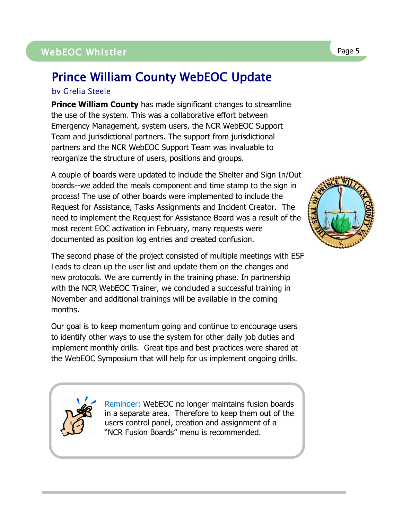### WebEOC Whistler Page 5

## Prince William County WebEOC Update

#### by Grelia Steele

**Prince William County** has made significant changes to streamline the use of the system. This was a collaborative effort between Emergency Management, system users, the NCR WebEOC Support Team and jurisdictional partners. The support from jurisdictional partners and the NCR WebEOC Support Team was invaluable to reorganize the structure of users, positions and groups.

A couple of boards were updated to include the Shelter and Sign In/Out boards--we added the meals component and time stamp to the sign in process! The use of other boards were implemented to include the Request for Assistance, Tasks Assignments and Incident Creator. The need to implement the Request for Assistance Board was a result of the most recent EOC activation in February, many requests were documented as position log entries and created confusion.

The second phase of the project consisted of multiple meetings with ESF Leads to clean up the user list and update them on the changes and new protocols. We are currently in the training phase. In partnership with the NCR WebEOC Trainer, we concluded a successful training in November and additional trainings will be available in the coming months.

Our goal is to keep momentum going and continue to encourage users to identify other ways to use the system for other daily job duties and implement monthly drills. Great tips and best practices were shared at the WebEOC Symposium that will help for us implement ongoing drills.

> Reminder: WebEOC no longer maintains fusion boards in a separate area. Therefore to keep them out of the users control panel, creation and assignment of a "NCR Fusion Boards" menu is recommended.